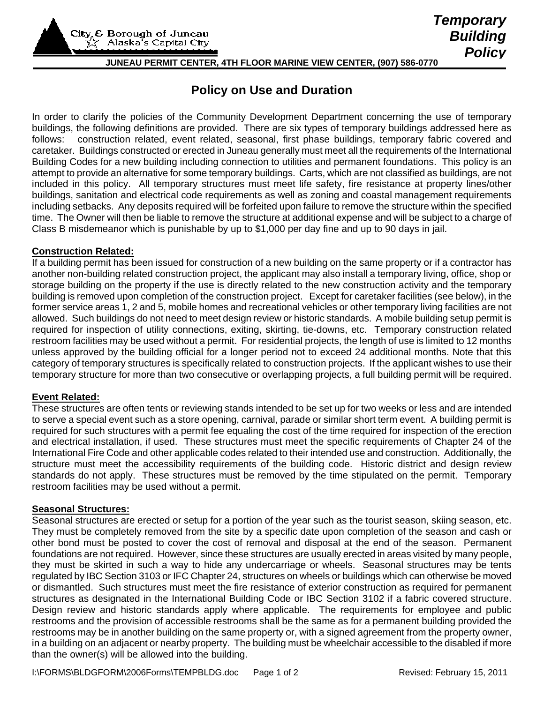City<sub>6</sub> & Borough of Juneau Alaska's Capital City

# **JUNEAU PERMIT CENTER, 4TH FLOOR MARINE VIEW CENTER, (907) 586-0770**

# **Policy on Use and Duration**

In order to clarify the policies of the Community Development Department concerning the use of temporary buildings, the following definitions are provided. There are six types of temporary buildings addressed here as follows: construction related, event related, seasonal, first phase buildings, temporary fabric covered and caretaker. Buildings constructed or erected in Juneau generally must meet all the requirements of the International Building Codes for a new building including connection to utilities and permanent foundations. This policy is an attempt to provide an alternative for some temporary buildings. Carts, which are not classified as buildings, are not included in this policy. All temporary structures must meet life safety, fire resistance at property lines/other buildings, sanitation and electrical code requirements as well as zoning and coastal management requirements including setbacks. Any deposits required will be forfeited upon failure to remove the structure within the specified time. The Owner will then be liable to remove the structure at additional expense and will be subject to a charge of Class B misdemeanor which is punishable by up to \$1,000 per day fine and up to 90 days in jail.

## **Construction Related:**

If a building permit has been issued for construction of a new building on the same property or if a contractor has another non-building related construction project, the applicant may also install a temporary living, office, shop or storage building on the property if the use is directly related to the new construction activity and the temporary building is removed upon completion of the construction project. Except for caretaker facilities (see below), in the former service areas 1, 2 and 5, mobile homes and recreational vehicles or other temporary living facilities are not allowed. Such buildings do not need to meet design review or historic standards. A mobile building setup permit is required for inspection of utility connections, exiting, skirting, tie-downs, etc. Temporary construction related restroom facilities may be used without a permit. For residential projects, the length of use is limited to 12 months unless approved by the building official for a longer period not to exceed 24 additional months. Note that this category of temporary structures is specifically related to construction projects. If the applicant wishes to use their temporary structure for more than two consecutive or overlapping projects, a full building permit will be required.

## **Event Related:**

These structures are often tents or reviewing stands intended to be set up for two weeks or less and are intended to serve a special event such as a store opening, carnival, parade or similar short term event. A building permit is required for such structures with a permit fee equaling the cost of the time required for inspection of the erection and electrical installation, if used. These structures must meet the specific requirements of Chapter 24 of the International Fire Code and other applicable codes related to their intended use and construction. Additionally, the structure must meet the accessibility requirements of the building code. Historic district and design review standards do not apply. These structures must be removed by the time stipulated on the permit. Temporary restroom facilities may be used without a permit.

#### **Seasonal Structures:**

Seasonal structures are erected or setup for a portion of the year such as the tourist season, skiing season, etc. They must be completely removed from the site by a specific date upon completion of the season and cash or other bond must be posted to cover the cost of removal and disposal at the end of the season. Permanent foundations are not required. However, since these structures are usually erected in areas visited by many people, they must be skirted in such a way to hide any undercarriage or wheels. Seasonal structures may be tents regulated by IBC Section 3103 or IFC Chapter 24, structures on wheels or buildings which can otherwise be moved or dismantled. Such structures must meet the fire resistance of exterior construction as required for permanent structures as designated in the International Building Code or IBC Section 3102 if a fabric covered structure. Design review and historic standards apply where applicable. The requirements for employee and public restrooms and the provision of accessible restrooms shall be the same as for a permanent building provided the restrooms may be in another building on the same property or, with a signed agreement from the property owner, in a building on an adjacent or nearby property. The building must be wheelchair accessible to the disabled if more than the owner(s) will be allowed into the building.

*Temporary Building Policy*